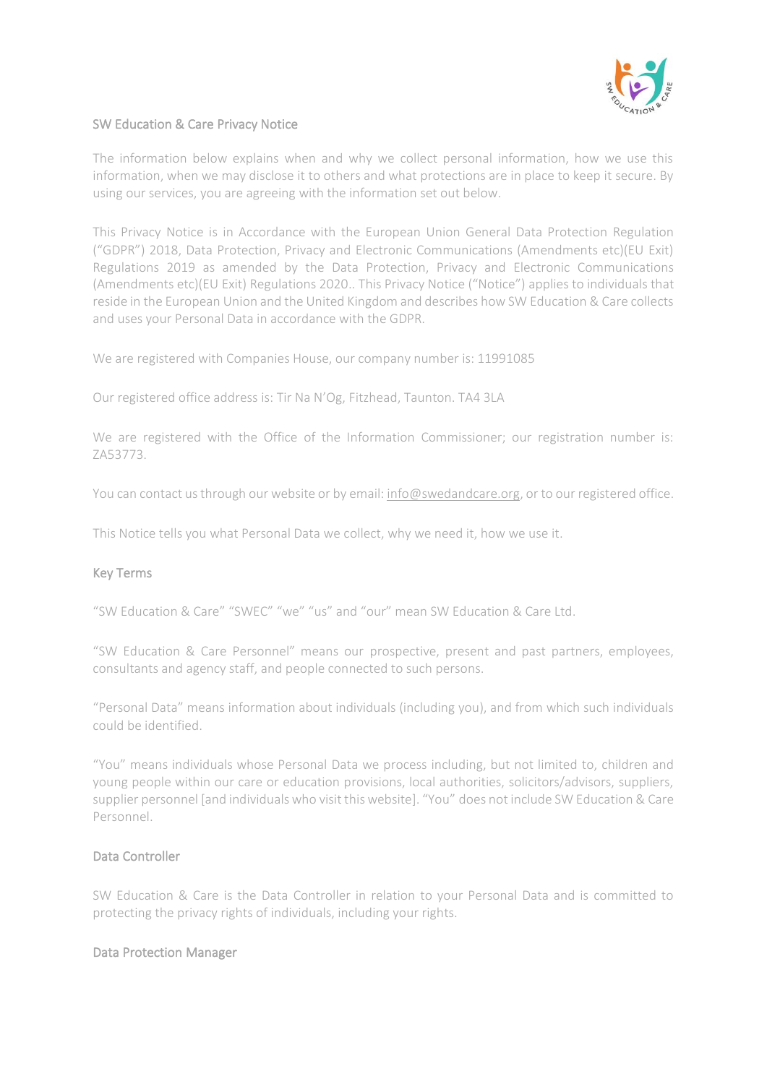

## SW Education & Care Privacy Notice

The information below explains when and why we collect personal information, how we use this information, when we may disclose it to others and what protections are in place to keep it secure. By using our services, you are agreeing with the information set out below.

This Privacy Notice is in Accordance with the European Union General Data Protection Regulation ("GDPR") 2018, Data Protection, Privacy and Electronic Communications (Amendments etc)(EU Exit) Regulations 2019 as amended by the Data Protection, Privacy and Electronic Communications (Amendments etc)(EU Exit) Regulations 2020.. This Privacy Notice ("Notice") applies to individuals that reside in the European Union and the United Kingdom and describes how SW Education & Care collects and uses your Personal Data in accordance with the GDPR.

We are registered with Companies House, our company number is: 11991085

Our registered office address is: Tir Na N'Og, Fitzhead, Taunton. TA4 3LA

We are registered with the Office of the Information Commissioner; our registration number is: ZA53773.

You can contact us through our website or by email[: info@swedandcare.org,](mailto:info@swedandcare.org) or to our registered office.

This Notice tells you what Personal Data we collect, why we need it, how we use it.

# Key Terms

"SW Education & Care" "SWEC" "we" "us" and "our" mean SW Education & Care Ltd.

"SW Education & Care Personnel" means our prospective, present and past partners, employees, consultants and agency staff, and people connected to such persons.

"Personal Data" means information about individuals (including you), and from which such individuals could be identified.

"You" means individuals whose Personal Data we process including, but not limited to, children and young people within our care or education provisions, local authorities, solicitors/advisors, suppliers, supplier personnel [and individuals who visit this website]. "You" does not include SW Education & Care Personnel.

#### Data Controller

SW Education & Care is the Data Controller in relation to your Personal Data and is committed to protecting the privacy rights of individuals, including your rights.

#### Data Protection Manager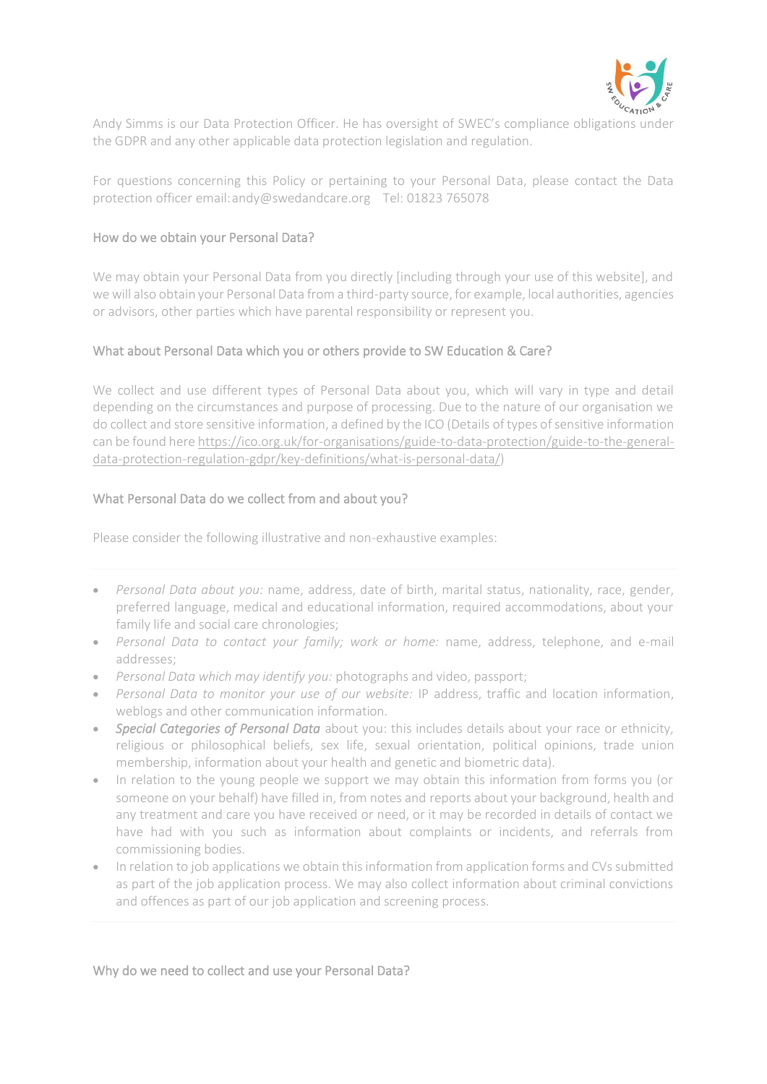

Andy Simms is our Data Protection Officer. He has oversight of SWEC's compliance obligations under the GDPR and any other applicable data protection legislation and regulation.

For questions concerning this Policy or pertaining to your Personal Data, please contact the Data protection officer email:andy@swedandcare.org Tel: 01823 765078

## How do we obtain your Personal Data?

We may obtain your Personal Data from you directly [including through your use of this website], and we will also obtain your Personal Data from a third-party source, for example, local authorities, agencies or advisors, other parties which have parental responsibility or represent you.

## What about Personal Data which you or others provide to SW Education & Care?

We collect and use different types of Personal Data about you, which will vary in type and detail depending on the circumstances and purpose of processing. Due to the nature of our organisation we do collect and store sensitive information, a defined by the ICO (Details of types of sensitive information can be found her[e https://ico.org.uk/for-organisations/guide-to-data-protection/guide-to-the-general](https://ico.org.uk/for-organisations/guide-to-data-protection/guide-to-the-general-data-protection-regulation-gdpr/key-definitions/what-is-personal-data/)[data-protection-regulation-gdpr/key-definitions/what-is-personal-data/\)](https://ico.org.uk/for-organisations/guide-to-data-protection/guide-to-the-general-data-protection-regulation-gdpr/key-definitions/what-is-personal-data/)

## What Personal Data do we collect from and about you?

Please consider the following illustrative and non-exhaustive examples:

- *Personal Data about you:* name, address, date of birth, marital status, nationality, race, gender, preferred language, medical and educational information, required accommodations, about your family life and social care chronologies;
- *Personal Data to contact your family; work or home:* name, address, telephone, and e-mail addresses;
- *Personal Data which may identify you:* photographs and video, passport;
- *Personal Data to monitor your use of our website:* IP address, traffic and location information, weblogs and other communication information.
- *Special Categories of Personal Data* about you: this includes details about your race or ethnicity, religious or philosophical beliefs, sex life, sexual orientation, political opinions, trade union membership, information about your health and genetic and biometric data).
- In relation to the young people we support we may obtain this information from forms you (or someone on your behalf) have filled in, from notes and reports about your background, health and any treatment and care you have received or need, or it may be recorded in details of contact we have had with you such as information about complaints or incidents, and referrals from commissioning bodies.
- In relation to job applications we obtain this information from application forms and CVs submitted as part of the job application process. We may also collect information about criminal convictions and offences as part of our job application and screening process.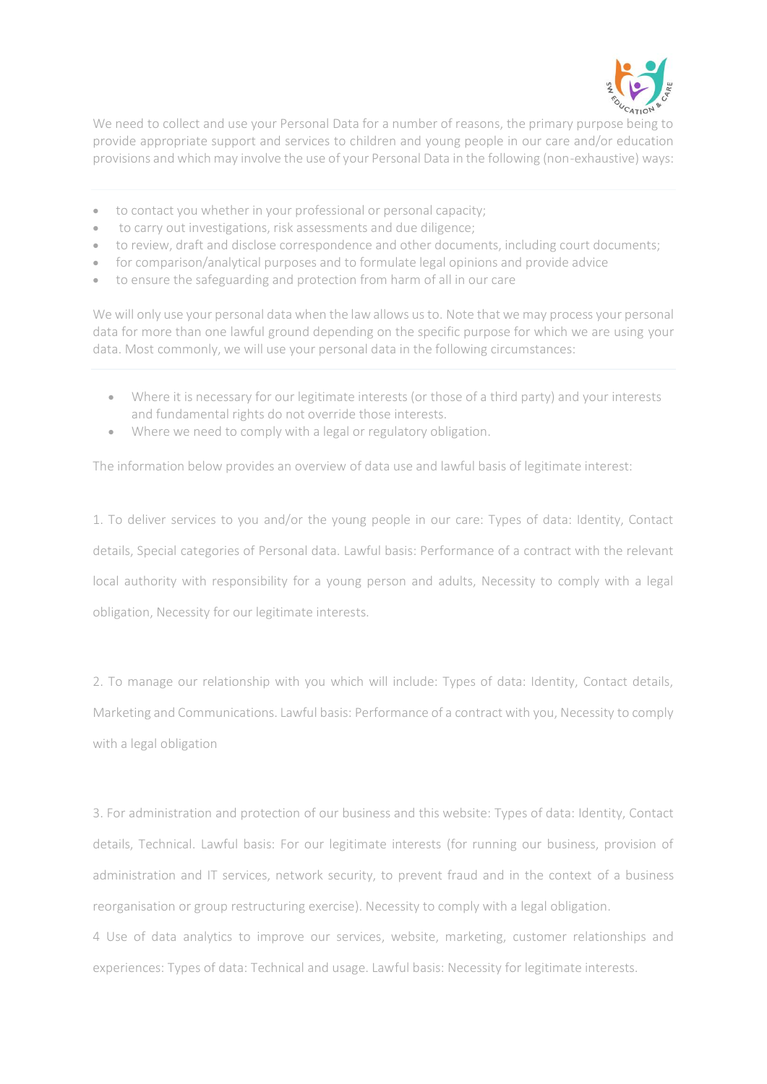

We need to collect and use your Personal Data for a number of reasons, the primary purpose being to provide appropriate support and services to children and young people in our care and/or education provisions and which may involve the use of your Personal Data in the following (non-exhaustive) ways:

- to contact you whether in your professional or personal capacity;
- to carry out investigations, risk assessments and due diligence;
- to review, draft and disclose correspondence and other documents, including court documents;
- for comparison/analytical purposes and to formulate legal opinions and provide advice
- to ensure the safeguarding and protection from harm of all in our care

We will only use your personal data when the law allows us to. Note that we may process your personal data for more than one lawful ground depending on the specific purpose for which we are using your data. Most commonly, we will use your personal data in the following circumstances:

- Where it is necessary for our legitimate interests (or those of a third party) and your interests and fundamental rights do not override those interests.
- Where we need to comply with a legal or regulatory obligation.

The information below provides an overview of data use and lawful basis of legitimate interest:

1. To deliver services to you and/or the young people in our care: Types of data: Identity, Contact details, Special categories of Personal data. Lawful basis: Performance of a contract with the relevant local authority with responsibility for a young person and adults, Necessity to comply with a legal obligation, Necessity for our legitimate interests.

2. To manage our relationship with you which will include: Types of data: Identity, Contact details, Marketing and Communications. Lawful basis: Performance of a contract with you, Necessity to comply with a legal obligation

3. For administration and protection of our business and this website: Types of data: Identity, Contact details, Technical. Lawful basis: For our legitimate interests (for running our business, provision of administration and IT services, network security, to prevent fraud and in the context of a business reorganisation or group restructuring exercise). Necessity to comply with a legal obligation.

4 Use of data analytics to improve our services, website, marketing, customer relationships and experiences: Types of data: Technical and usage. Lawful basis: Necessity for legitimate interests.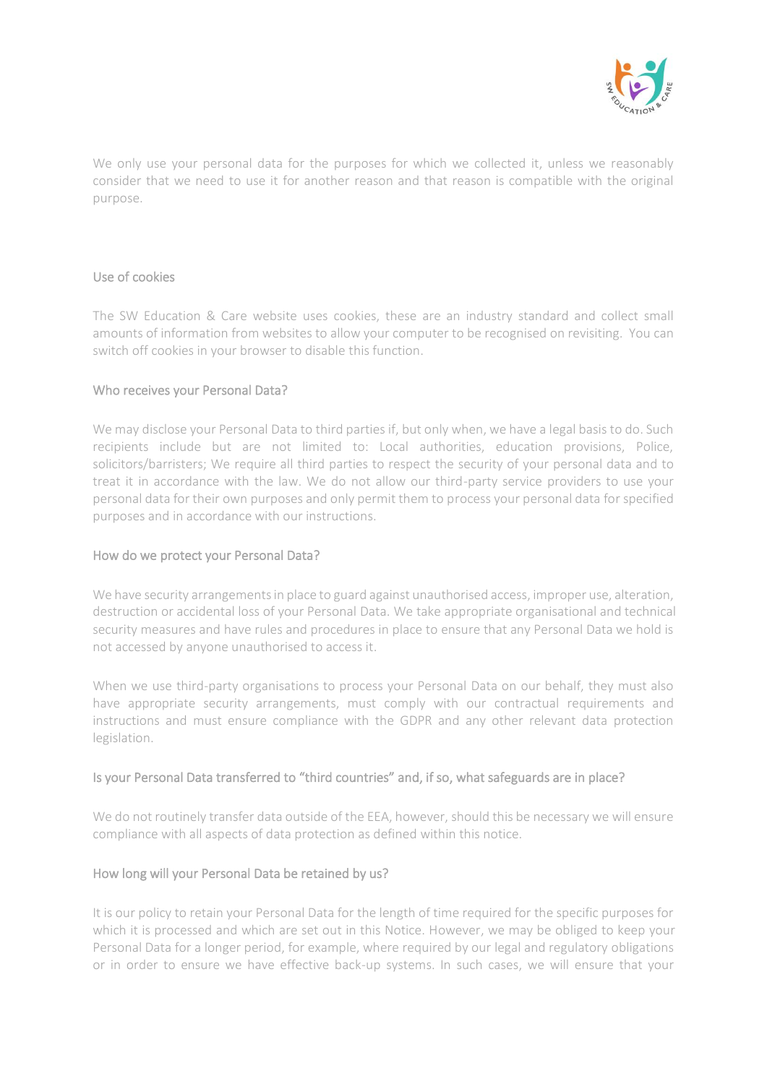

We only use your personal data for the purposes for which we collected it, unless we reasonably consider that we need to use it for another reason and that reason is compatible with the original purpose.

#### Use of cookies

The SW Education & Care website uses cookies, these are an industry standard and collect small amounts of information from websites to allow your computer to be recognised on revisiting. You can switch off cookies in your browser to disable this function.

## Who receives your Personal Data?

We may disclose your Personal Data to third parties if, but only when, we have a legal basis to do. Such recipients include but are not limited to: Local authorities, education provisions, Police, solicitors/barristers; We require all third parties to respect the security of your personal data and to treat it in accordance with the law. We do not allow our third-party service providers to use your personal data for their own purposes and only permit them to process your personal data for specified purposes and in accordance with our instructions.

# How do we protect your Personal Data?

We have security arrangements in place to guard against unauthorised access, improper use, alteration, destruction or accidental loss of your Personal Data. We take appropriate organisational and technical security measures and have rules and procedures in place to ensure that any Personal Data we hold is not accessed by anyone unauthorised to access it.

When we use third-party organisations to process your Personal Data on our behalf, they must also have appropriate security arrangements, must comply with our contractual requirements and instructions and must ensure compliance with the GDPR and any other relevant data protection legislation.

# Is your Personal Data transferred to "third countries" and, if so, what safeguards are in place?

We do not routinely transfer data outside of the EEA, however, should this be necessary we will ensure compliance with all aspects of data protection as defined within this notice.

#### How long will your Personal Data be retained by us?

It is our policy to retain your Personal Data for the length of time required for the specific purposes for which it is processed and which are set out in this Notice. However, we may be obliged to keep your Personal Data for a longer period, for example, where required by our legal and regulatory obligations or in order to ensure we have effective back-up systems. In such cases, we will ensure that your